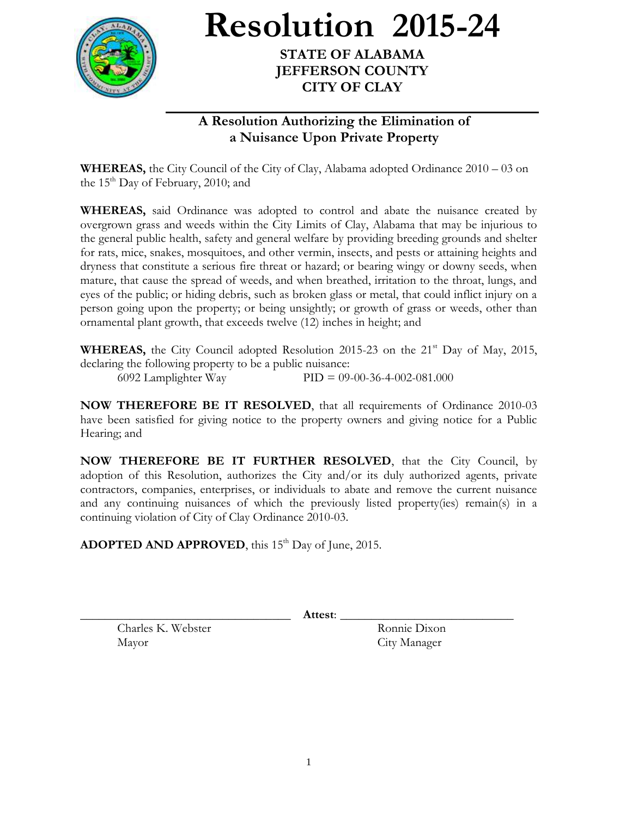

**Resolution 2015-24**

**STATE OF ALABAMA JEFFERSON COUNTY CITY OF CLAY**

## **A Resolution Authorizing the Elimination of a Nuisance Upon Private Property**

**WHEREAS,** the City Council of the City of Clay, Alabama adopted Ordinance 2010 – 03 on the  $15<sup>th</sup>$  Day of February, 2010; and

**WHEREAS,** said Ordinance was adopted to control and abate the nuisance created by overgrown grass and weeds within the City Limits of Clay, Alabama that may be injurious to the general public health, safety and general welfare by providing breeding grounds and shelter for rats, mice, snakes, mosquitoes, and other vermin, insects, and pests or attaining heights and dryness that constitute a serious fire threat or hazard; or bearing wingy or downy seeds, when mature, that cause the spread of weeds, and when breathed, irritation to the throat, lungs, and eyes of the public; or hiding debris, such as broken glass or metal, that could inflict injury on a person going upon the property; or being unsightly; or growth of grass or weeds, other than ornamental plant growth, that exceeds twelve (12) inches in height; and

**WHEREAS,** the City Council adopted Resolution 2015-23 on the  $21<sup>st</sup>$  Day of May, 2015, declaring the following property to be a public nuisance: 6092 Lamplighter Way PID = 09-00-36-4-002-081.000

**NOW THEREFORE BE IT RESOLVED**, that all requirements of Ordinance 2010-03 have been satisfied for giving notice to the property owners and giving notice for a Public Hearing; and

**NOW THEREFORE BE IT FURTHER RESOLVED**, that the City Council, by adoption of this Resolution, authorizes the City and/or its duly authorized agents, private contractors, companies, enterprises, or individuals to abate and remove the current nuisance and any continuing nuisances of which the previously listed property(ies) remain(s) in a continuing violation of City of Clay Ordinance 2010-03.

ADOPTED AND APPROVED, this 15<sup>th</sup> Day of June, 2015.

\_\_\_\_\_\_\_\_\_\_\_\_\_\_\_\_\_\_\_\_\_\_\_\_\_\_\_\_\_\_\_\_\_\_ **Attest**: \_\_\_\_\_\_\_\_\_\_\_\_\_\_\_\_\_\_\_\_\_\_\_\_\_\_\_\_

Charles K. Webster Ronnie Dixon Mayor City Manager